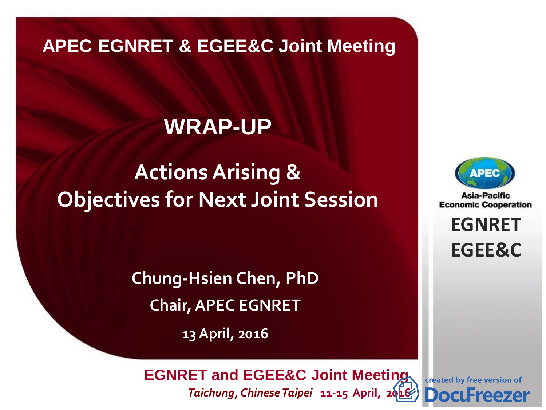#### **APEC EGNRET & EGEE&C Joint Meeting**

#### **WRAP-UP**

### **Actions Arising & Objectives for Next Joint Session**

**Chung-Hsien Chen, PhD Chair, APEC EGNRET**

**13 April, 2016**

Asia-Pacific **Economic Cooperation** 

> **EGNRET EGNRET EGEE&C**

**EWG 40** *Brunei Darussalam* **22-26 November, 2010**  *Taichung, Chinese Taipei* **11-15 April, 2[016](http://www.docufreezer.com/?df-dlabel) EGNRET and EGEE&C Joint Meeting**

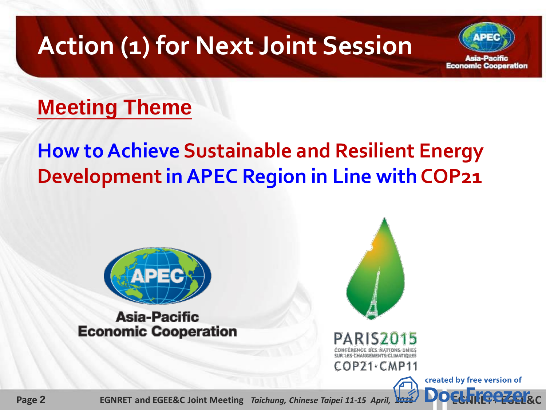## **Action (1) for Next Joint Session**



#### **Meeting Theme**

#### **How to Achieve Sustainable and Resilient Energy Development in APEC Region in Line with COP21**



#### **Asia-Pacific Economic Cooperation**



**Page 2 2 EGNRET and EGEE&C Joint Meeting** *Taichung, Chinese Taipei 11-15 April,* **2016**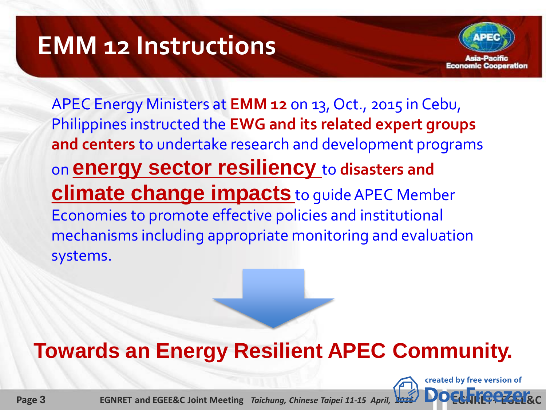## **EMM 12 Instructions**



APEC Energy Ministers at **EMM 12** on 13, Oct., 2015 in Cebu, Philippines instructed the **EWG and its related expert groups and centers** to undertake research and development programs on **energy sector resiliency** to **disasters and climate change impacts** to guide APEC Member Economies to promote effective policies and institutional mechanisms including appropriate monitoring and evaluation systems.

## **Towards an Energy Resilient APEC Community.**



**Page 3 EGNRET and EGEE&C Joint Meeting** *Taichung, Chinese Taipei 11-15 April,* **2016**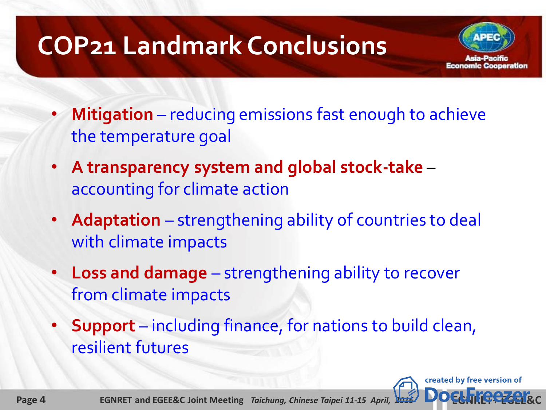# **COP21 Landmark Conclusions**

- Economic Cooperation
- **Mitigation** reducing emissions fast enough to achieve the temperature goal
- **A transparency system and global stock-take** accounting for climate action
- **Adaptation**  strengthening ability of countries to deal with climate impacts
- **Loss and damage**  strengthening ability to recover from climate impacts
- **Support** including finance, for nations to build clean, resilient futures

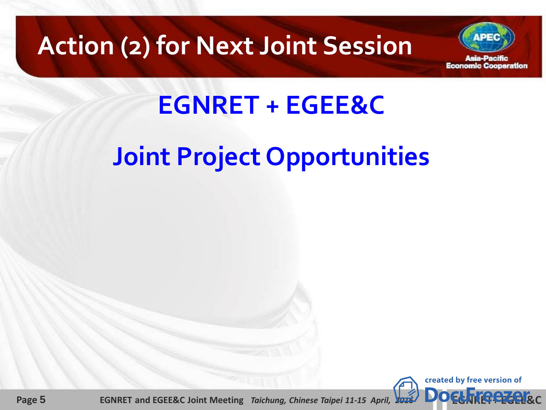## **Action (2) for Next Joint Session**



# **EGNRET + EGEE&C**

# **Joint Project Opportunities**